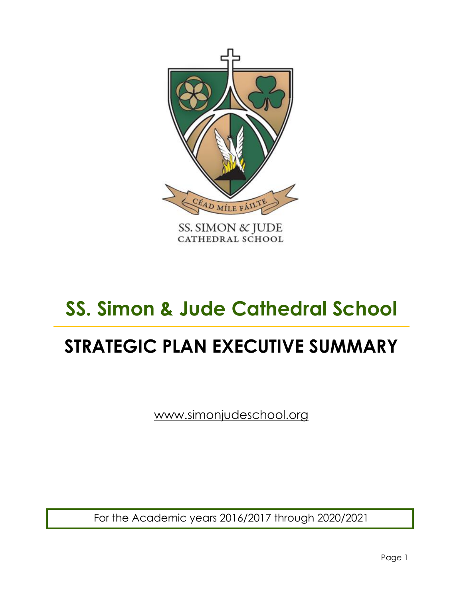

## **SS. Simon & Jude Cathedral School**

## **STRATEGIC PLAN EXECUTIVE SUMMARY**

[www.simonjudeschool.org](http://www.simonjudeschool.org/)

For the Academic years 2016/2017 through 2020/2021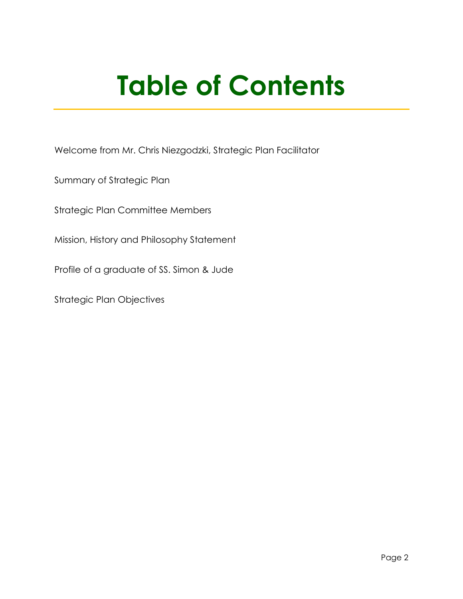# **Table of Contents**

Welcome from Mr. Chris Niezgodzki, Strategic Plan Facilitator

Summary of Strategic Plan

Strategic Plan Committee Members

Mission, History and Philosophy Statement

Profile of a graduate of SS. Simon & Jude

Strategic Plan Objectives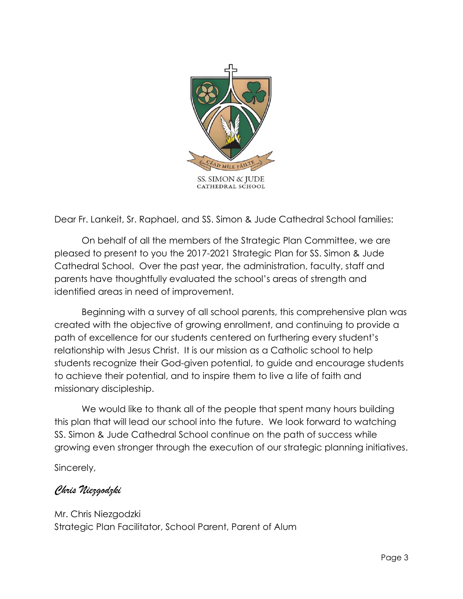

Dear Fr. Lankeit, Sr. Raphael, and SS. Simon & Jude Cathedral School families:

On behalf of all the members of the Strategic Plan Committee, we are pleased to present to you the 2017-2021 Strategic Plan for SS. Simon & Jude Cathedral School. Over the past year, the administration, faculty, staff and parents have thoughtfully evaluated the school's areas of strength and identified areas in need of improvement.

Beginning with a survey of all school parents, this comprehensive plan was created with the objective of growing enrollment, and continuing to provide a path of excellence for our students centered on furthering every student's relationship with Jesus Christ. It is our mission as a Catholic school to help students recognize their God-given potential, to guide and encourage students to achieve their potential, and to inspire them to live a life of faith and missionary discipleship.

We would like to thank all of the people that spent many hours building this plan that will lead our school into the future. We look forward to watching SS. Simon & Jude Cathedral School continue on the path of success while growing even stronger through the execution of our strategic planning initiatives.

Sincerely,

#### *Chris Niezgodzki*

Mr. Chris Niezgodzki Strategic Plan Facilitator, School Parent, Parent of Alum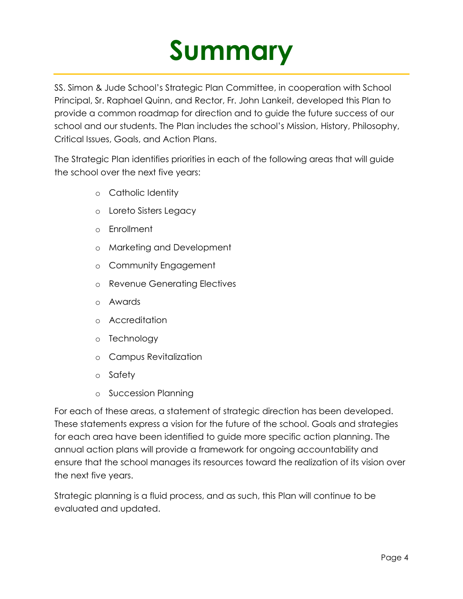# **Summary**

SS. Simon & Jude School's Strategic Plan Committee, in cooperation with School Principal, Sr. Raphael Quinn, and Rector, Fr. John Lankeit, developed this Plan to provide a common roadmap for direction and to guide the future success of our school and our students. The Plan includes the school's Mission, History, Philosophy, Critical Issues, Goals, and Action Plans.

The Strategic Plan identifies priorities in each of the following areas that will guide the school over the next five years:

- o Catholic Identity
- o Loreto Sisters Legacy
- o Enrollment
- o Marketing and Development
- o Community Engagement
- o Revenue Generating Electives
- o Awards
- o Accreditation
- o Technology
- o Campus Revitalization
- o Safety
- o Succession Planning

For each of these areas, a statement of strategic direction has been developed. These statements express a vision for the future of the school. Goals and strategies for each area have been identified to guide more specific action planning. The annual action plans will provide a framework for ongoing accountability and ensure that the school manages its resources toward the realization of its vision over the next five years.

Strategic planning is a fluid process, and as such, this Plan will continue to be evaluated and updated.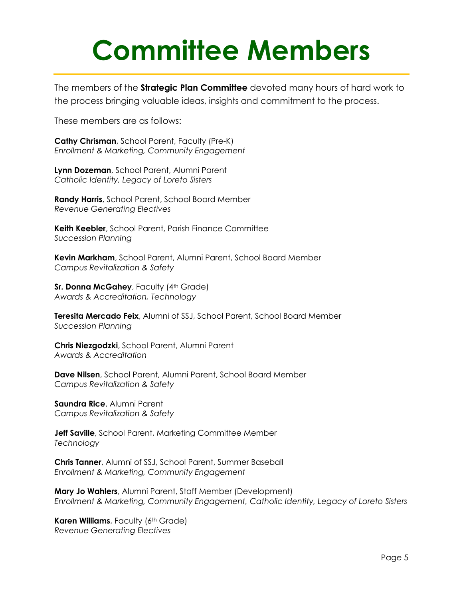# **Committee Members**

The members of the **Strategic Plan Committee** devoted many hours of hard work to the process bringing valuable ideas, insights and commitment to the process.

These members are as follows:

**Cathy Chrisman**, School Parent, Faculty (Pre-K) *Enrollment & Marketing, Community Engagement*

**Lynn Dozeman**, School Parent, Alumni Parent *Catholic Identity, Legacy of Loreto Sisters*

**Randy Harris**, School Parent, School Board Member *Revenue Generating Electives*

**Keith Keebler**, School Parent, Parish Finance Committee *Succession Planning*

**Kevin Markham**, School Parent, Alumni Parent, School Board Member *Campus Revitalization & Safety*

**Sr. Donna McGahey**, Faculty (4<sup>th</sup> Grade) *Awards & Accreditation, Technology*

**Teresita Mercado Feix**, Alumni of SSJ, School Parent, School Board Member *Succession Planning*

**Chris Niezgodzki**, School Parent, Alumni Parent *Awards & Accreditation*

**Dave Nilsen**, School Parent, Alumni Parent, School Board Member *Campus Revitalization & Safety*

**Saundra Rice**, Alumni Parent *Campus Revitalization & Safety*

**Jeff Saville**, School Parent, Marketing Committee Member *Technology*

**Chris Tanner**, Alumni of SSJ, School Parent, Summer Baseball *Enrollment & Marketing, Community Engagement* 

**Mary Jo Wahlers**, Alumni Parent, Staff Member (Development) *Enrollment & Marketing, Community Engagement, Catholic Identity, Legacy of Loreto Sisters*

**Karen Williams**, Faculty (6th Grade) *Revenue Generating Electives*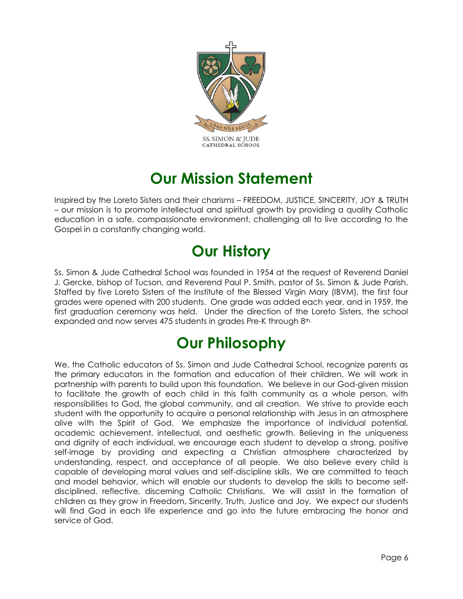

## **Our Mission Statement**

Inspired by the Loreto Sisters and their charisms – FREEDOM, JUSTICE, SINCERITY, JOY & TRUTH – our mission is to promote intellectual and spiritual growth by providing a quality Catholic education in a safe, compassionate environment, challenging all to live according to the Gospel in a constantly changing world.

## **Our History**

Ss. Simon & Jude Cathedral School was founded in 1954 at the request of Reverend Daniel J. Gercke, bishop of Tucson, and Reverend Paul P. Smith, pastor of Ss. Simon & Jude Parish. Staffed by five Loreto Sisters of the Institute of the Blessed Virgin Mary (IBVM), the first four grades were opened with 200 students. One grade was added each year, and in 1959, the first graduation ceremony was held. Under the direction of the Loreto Sisters, the school expanded and now serves 475 students in grades Pre-K through 8th.

### **Our Philosophy**

We, the Catholic educators of Ss. Simon and Jude Cathedral School, recognize parents as the primary educators in the formation and education of their children. We will work in partnership with parents to build upon this foundation. We believe in our God-given mission to facilitate the growth of each child in this faith community as a whole person, with responsibilities to God, the global community, and all creation. We strive to provide each student with the opportunity to acquire a personal relationship with Jesus in an atmosphere alive with the Spirit of God. We emphasize the importance of individual potential, academic achievement, intellectual, and aesthetic growth. Believing in the uniqueness and dignity of each individual, we encourage each student to develop a strong, positive self-image by providing and expecting a Christian atmosphere characterized by understanding, respect, and acceptance of all people. We also believe every child is capable of developing moral values and self-discipline skills. We are committed to teach and model behavior, which will enable our students to develop the skills to become selfdisciplined, reflective, discerning Catholic Christians. We will assist in the formation of children as they grow in Freedom, Sincerity, Truth, Justice and Joy. We expect our students will find God in each life experience and go into the future embracing the honor and service of God.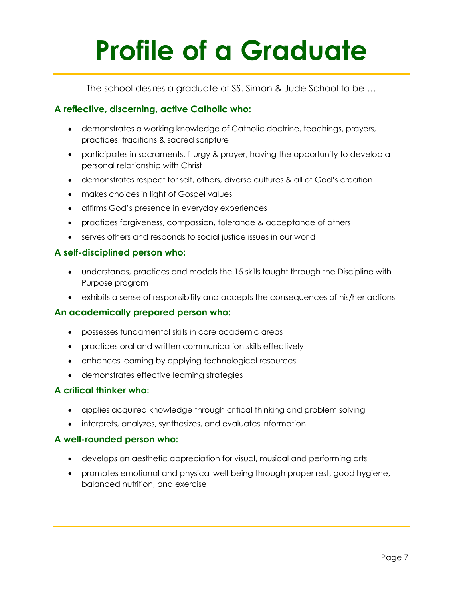# **Profile of a Graduate**

The school desires a graduate of SS. Simon & Jude School to be …

#### **A reflective, discerning, active Catholic who:**

- demonstrates a working knowledge of Catholic doctrine, teachings, prayers, practices, traditions & sacred scripture
- participates in sacraments, liturgy & prayer, having the opportunity to develop a personal relationship with Christ
- demonstrates respect for self, others, diverse cultures & all of God's creation
- makes choices in light of Gospel values
- **•** affirms God's presence in everyday experiences
- practices forgiveness, compassion, tolerance & acceptance of others
- serves others and responds to social justice issues in our world

#### **A self-disciplined person who:**

- understands, practices and models the 15 skills taught through the Discipline with Purpose program
- exhibits a sense of responsibility and accepts the consequences of his/her actions

#### **An academically prepared person who:**

- possesses fundamental skills in core academic areas
- practices oral and written communication skills effectively
- enhances learning by applying technological resources
- demonstrates effective learning strategies

#### **A critical thinker who:**

- applies acquired knowledge through critical thinking and problem solving
- interprets, analyzes, synthesizes, and evaluates information

#### **A well-rounded person who:**

- develops an aesthetic appreciation for visual, musical and performing arts
- promotes emotional and physical well-being through proper rest, good hygiene, balanced nutrition, and exercise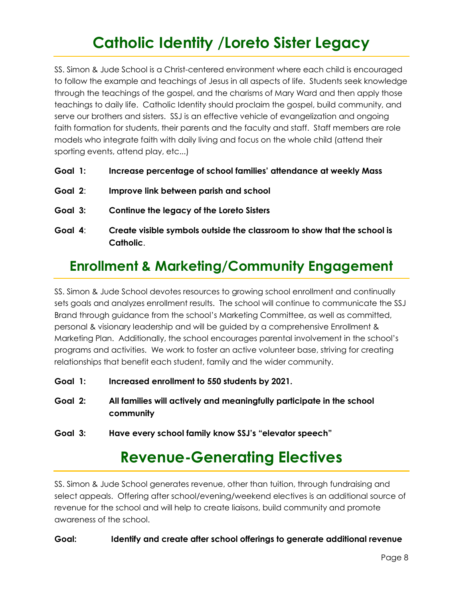## **Catholic Identity /Loreto Sister Legacy**

SS. Simon & Jude School is a Christ-centered environment where each child is encouraged to follow the example and teachings of Jesus in all aspects of life. Students seek knowledge through the teachings of the gospel, and the charisms of Mary Ward and then apply those teachings to daily life. Catholic Identity should proclaim the gospel, build community, and serve our brothers and sisters. SSJ is an effective vehicle of evangelization and ongoing faith formation for students, their parents and the faculty and staff. Staff members are role models who integrate faith with daily living and focus on the whole child (attend their sporting events, attend play, etc...)

- **Goal 1: Increase percentage of school families' attendance at weekly Mass**
- **Goal 2**: **Improve link between parish and school**
- **Goal 3: Continue the legacy of the Loreto Sisters**
- **Goal 4**: **Create visible symbols outside the classroom to show that the school is Catholic**.

### **Enrollment & Marketing/Community Engagement**

SS. Simon & Jude School devotes resources to growing school enrollment and continually sets goals and analyzes enrollment results. The school will continue to communicate the SSJ Brand through guidance from the school's Marketing Committee, as well as committed, personal & visionary leadership and will be guided by a comprehensive Enrollment & Marketing Plan. Additionally, the school encourages parental involvement in the school's programs and activities. We work to foster an active volunteer base, striving for creating relationships that benefit each student, family and the wider community.

- **Goal 1: Increased enrollment to 550 students by 2021.**
- **Goal 2: All families will actively and meaningfully participate in the school community**
- **Goal 3: Have every school family know SSJ's "elevator speech"**

### **Revenue-Generating Electives**

SS. Simon & Jude School generates revenue, other than tuition, through fundraising and select appeals. Offering after school/evening/weekend electives is an additional source of revenue for the school and will help to create liaisons, build community and promote awareness of the school.

#### **Goal: Identify and create after school offerings to generate additional revenue**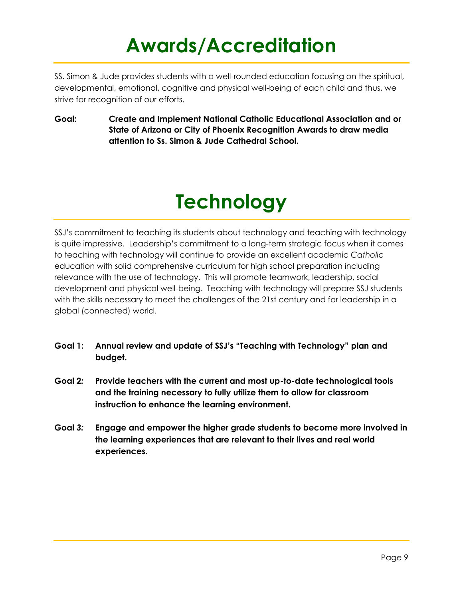## **Awards/Accreditation**

SS. Simon & Jude provides students with a well-rounded education focusing on the spiritual, developmental, emotional, cognitive and physical well-being of each child and thus, we strive for recognition of our efforts.

**Goal: Create and Implement National Catholic Educational Association and or State of Arizona or City of Phoenix Recognition Awards to draw media attention to Ss. Simon & Jude Cathedral School.**

# **Technology**

SSJ's commitment to teaching its students about technology and teaching with technology is quite impressive. Leadership's commitment to a long-term strategic focus when it comes to teaching with technology will continue to provide an excellent academic *Catholic*  education with solid comprehensive curriculum for high school preparation including relevance with the use of technology. This will promote teamwork, leadership, social development and physical well-being. Teaching with technology will prepare SSJ students with the skills necessary to meet the challenges of the 21st century and for leadership in a global (connected) world.

- **Goal 1: Annual review and update of SSJ's "Teaching with Technology" plan and budget.**
- **Goal 2***:* **Provide teachers with the current and most up-to-date technological tools and the training necessary to fully utilize them to allow for classroom instruction to enhance the learning environment.**
- **Goal** *3:* **Engage and empower the higher grade students to become more involved in the learning experiences that are relevant to their lives and real world experiences.**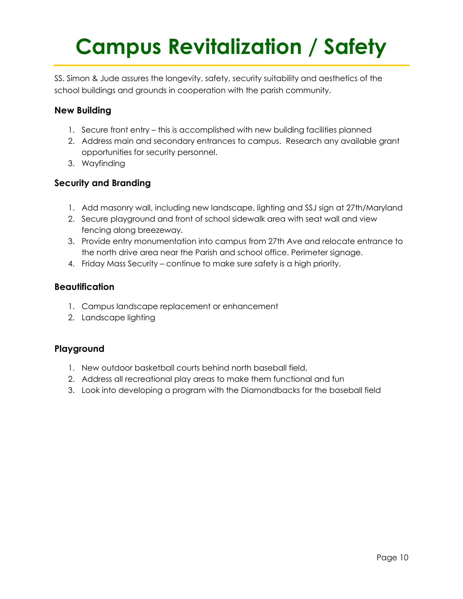# **Campus Revitalization / Safety**

SS. Simon & Jude assures the longevity, safety, security suitability and aesthetics of the school buildings and grounds in cooperation with the parish community.

#### **New Building**

- 1. Secure front entry this is accomplished with new building facilities planned
- 2. Address main and secondary entrances to campus. Research any available grant opportunities for security personnel.
- 3. Wayfinding

#### **Security and Branding**

- 1. Add masonry wall, including new landscape, lighting and SSJ sign at 27th/Maryland
- 2. Secure playground and front of school sidewalk area with seat wall and view fencing along breezeway.
- 3. Provide entry monumentation into campus from 27th Ave and relocate entrance to the north drive area near the Parish and school office. Perimeter signage.
- 4. Friday Mass Security continue to make sure safety is a high priority.

#### **Beautification**

- 1. Campus landscape replacement or enhancement
- 2. Landscape lighting

#### **Playground**

- 1. New outdoor basketball courts behind north baseball field,
- 2. Address all recreational play areas to make them functional and fun
- 3. Look into developing a program with the Diamondbacks for the baseball field